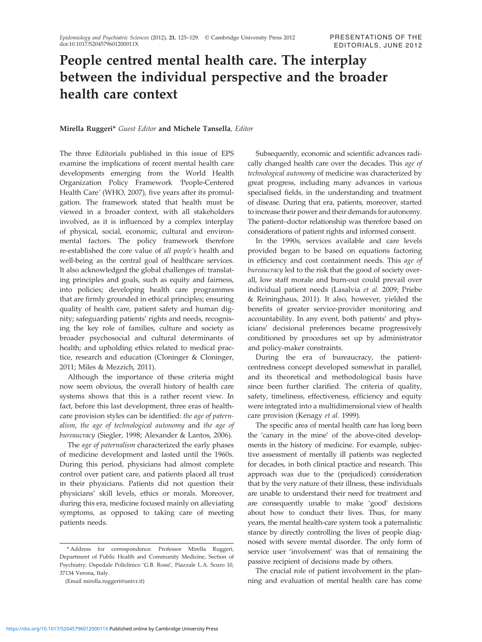## People centred mental health care. The interplay between the individual perspective and the broader health care context

## Mirella Ruggeri\* Guest Editor and Michele Tansella, Editor

The three Editorials published in this issue of EPS examine the implications of recent mental health care developments emerging from the World Health Organization Policy Framework 'People-Centered Health Care' (WHO, 2007), five years after its promulgation. The framework stated that health must be viewed in a broader context, with all stakeholders involved, as it is influenced by a complex interplay of physical, social, economic, cultural and environmental factors. The policy framework therefore re-established the core value of all people's health and well-being as the central goal of healthcare services. It also acknowledged the global challenges of: translating principles and goals, such as equity and fairness, into policies; developing health care programmes that are firmly grounded in ethical principles; ensuring quality of health care, patient safety and human dignity; safeguarding patients' rights and needs, recognising the key role of families, culture and society as broader psychosocial and cultural determinants of health; and upholding ethics related to medical practice, research and education (Cloninger & Cloninger, 2011; Miles & Mezzich, 2011).

Although the importance of these criteria might now seem obvious, the overall history of health care systems shows that this is a rather recent view. In fact, before this last development, three eras of healthcare provision styles can be identified: the age of paternalism, the age of technological autonomy and the age of bureaucracy (Siegler, 1998; Alexander & Lantos, 2006).

The age of paternalism characterized the early phases of medicine development and lasted until the 1960s. During this period, physicians had almost complete control over patient care, and patients placed all trust in their physicians. Patients did not question their physicians' skill levels, ethics or morals. Moreover, during this era, medicine focused mainly on alleviating symptoms, as opposed to taking care of meeting patients needs.

Subsequently, economic and scientific advances radically changed health care over the decades. This age of technological autonomy of medicine was characterized by great progress, including many advances in various specialised fields, in the understanding and treatment of disease. During that era, patients, moreover, started to increase their power and their demands for autonomy. The patient–doctor relationship was therefore based on considerations of patient rights and informed consent.

In the 1990s, services available and care levels provided began to be based on equations factoring in efficiency and cost containment needs. This age of bureaucracy led to the risk that the good of society overall, low staff morale and burn-out could prevail over individual patient needs (Lasalvia et al. 2009; Priebe & Reininghaus, 2011). It also, however, yielded the benefits of greater service-provider monitoring and accountability. In any event, both patients' and physicians' decisional preferences became progressively conditioned by procedures set up by administrator and policy-maker constraints.

During the era of bureaucracy, the patientcentredness concept developed somewhat in parallel, and its theoretical and methodological basis have since been further clarified. The criteria of quality, safety, timeliness, effectiveness, efficiency and equity were integrated into a multidimensional view of health care provision (Kenagy et al. 1999).

The specific area of mental health care has long been the 'canary in the mine' of the above-cited developments in the history of medicine. For example, subjective assessment of mentally ill patients was neglected for decades, in both clinical practice and research. This approach was due to the (prejudiced) consideration that by the very nature of their illness, these individuals are unable to understand their need for treatment and are consequently unable to make 'good' decisions about how to conduct their lives. Thus, for many years, the mental health-care system took a paternalistic stance by directly controlling the lives of people diagnosed with severe mental disorder. The only form of service user 'involvement' was that of remaining the passive recipient of decisions made by others.

The crucial role of patient involvement in the planning and evaluation of mental health care has come

<sup>\*</sup> Address for correspondence: Professor Mirella Ruggeri, Department of Public Health and Community Medicine, Section of Psychiatry, Ospedale Policlinico 'G.B. Rossi', Piazzale L.A. Scuro 10, 37134 Verona, Italy.

<sup>(</sup>Email mirella.ruggeri@univr.it)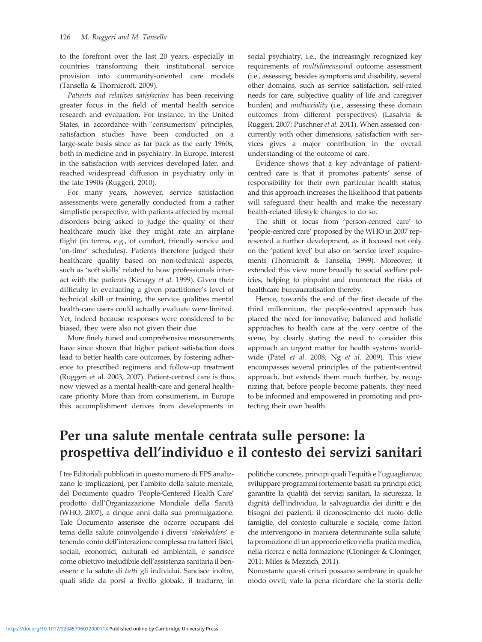to the forefront over the last 20 years, especially in countries transforming their institutional service provision into community-oriented care models (Tansella & Thornicroft, 2009).

Patients and relatives satisfaction has been receiving greater focus in the field of mental health service research and evaluation. For instance, in the United States, in accordance with 'consumerism' principles, satisfaction studies have been conducted on a large-scale basis since as far back as the early 1960s, both in medicine and in psychiatry. In Europe, interest in the satisfaction with services developed later, and reached widespread diffusion in psychiatry only in the late 1990s (Ruggeri, 2010).

For many years, however, service satisfaction assessments were generally conducted from a rather simplistic perspective, with patients affected by mental disorders being asked to judge the quality of their healthcare much like they might rate an airplane flight (in terms, e.g., of comfort, friendly service and 'on-time' schedules). Patients therefore judged their healthcare quality based on non-technical aspects, such as 'soft skills' related to how professionals interact with the patients (Kenagy et al. 1999). Given their difficulty in evaluating a given practitioner's level of technical skill or training, the service qualities mental health-care users could actually evaluate were limited. Yet, indeed because responses were considered to be biased, they were also not given their due.

More finely tuned and comprehensive measurements have since shown that higher patient satisfaction does lead to better health care outcomes, by fostering adherence to prescribed regimens and follow-up treatment (Ruggeri et al. 2003, 2007). Patient-centred care is thus now viewed as a mental health-care and general healthcare priority More than from consumerism, in Europe this accomplishment derives from developments in

social psychiatry, i.e., the increasingly recognized key requirements of multidimensional outcome assessment (i.e., assessing, besides symptoms and disability, several other domains, such as service satisfaction, self-rated needs for care, subjective quality of life and caregiver burden) and multiaxiality (i.e., assessing these domain outcomes from different perspectives) (Lasalvia & Ruggeri, 2007; Puschner et al. 2011). When assessed concurrently with other dimensions, satisfaction with services gives a major contribution in the overall understanding of the outcome of care.

Evidence shows that a key advantage of patientcentred care is that it promotes patients' sense of responsibility for their own particular health status, and this approach increases the likelihood that patients will safeguard their health and make the necessary health-related lifestyle changes to do so.

The shift of focus from 'person-centred care' to 'people-centred care' proposed by the WHO in 2007 represented a further development, as it focused not only on the 'patient level' but also on 'service level' requirements (Thornicroft & Tansella, 1999). Moreover, it extended this view more broadly to social welfare policies, helping to pinpoint and counteract the risks of healthcare bureaucratisation thereby.

Hence, towards the end of the first decade of the third millennium, the people-centred approach has placed the need for innovative, balanced and holistic approaches to health care at the very centre of the scene, by clearly stating the need to consider this approach an urgent matter for health systems worldwide (Patel et al. 2008; Ng et al. 2009). This view encompasses several principles of the patient-centred approach, but extends them much further, by recognizing that, before people become patients, they need to be informed and empowered in promoting and protecting their own health.

## Per una salute mentale centrata sulle persone: la prospettiva dell'individuo e il contesto dei servizi sanitari

I tre Editoriali pubblicati in questo numero di EPS analizzano le implicazioni, per l'ambito della salute mentale, del Documento quadro 'People-Centered Health Care' prodotto dall'Organizzazione Mondiale della Sanità (WHO, 2007), a cinque anni dalla sua promulgazione. Tale Documento asserisce che occorre occuparsi del tema della salute coinvolgendo i diversi 'stakeholders' e tenendo conto dell'interazione complessa fra fattori fisici, sociali, economici, culturali ed ambientali, e sancisce come obiettivo ineludibile dell'assistenza sanitaria il benessere e la salute di tutti gli individui. Sancisce inoltre, quali sfide da porsi a livello globale, il tradurre, in

politiche concrete, principi quali l'equità e l'uguaglianza; sviluppare programmi fortemente basati su principi etici; garantire la qualità dei servizi sanitari, la sicurezza, la dignità dell'individuo, la salvaguardia dei diritti e dei bisogni dei pazienti; il riconoscimento del ruolo delle famiglie, del contesto culturale e sociale, come fattori che intervengono in maniera determinante sulla salute; la promozione di un approccio etico nella pratica medica, nella ricerca e nella formazione (Cloninger & Cloninger, 2011; Miles & Mezzich, 2011).

Nonostante questi criteri possano sembrare in qualche modo ovvii, vale la pena ricordare che la storia delle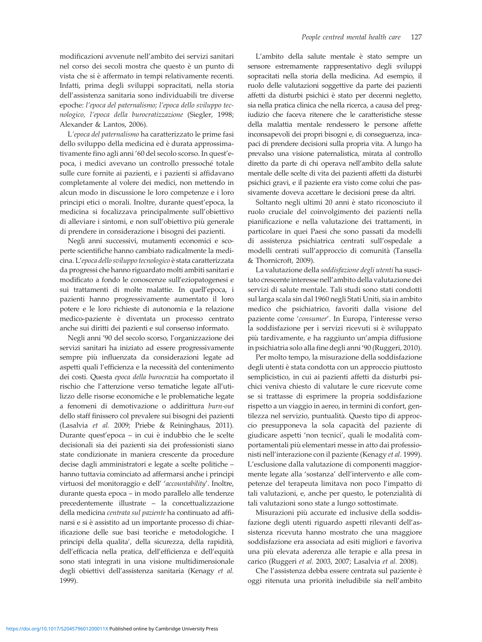modificazioni avvenute nell'ambito dei servizi sanitari nel corso dei secoli mostra che questo è un punto di vista che si è affermato in tempi relativamente recenti. Infatti, prima degli sviluppi sopracitati, nella storia dell'assistenza sanitaria sono individuabili tre diverse epoche: l'epoca del paternalismo; l'epoca dello sviluppo tecnologico, l'epoca della burocratizzazione (Siegler, 1998; Alexander & Lantos, 2006).

L'epoca del paternalismo ha caratterizzato le prime fasi dello sviluppo della medicina ed è durata approssimativamente fino agli anni '60 del secolo scorso. In quest'epoca, i medici avevano un controllo pressoché totale sulle cure fornite ai pazienti, e i pazienti si affidavano completamente al volere dei medici, non mettendo in alcun modo in discussione le loro competenze e i loro principi etici o morali. Inoltre, durante quest'epoca, la medicina si focalizzava principalmente sull'obiettivo di alleviare i sintomi, e non sull'obiettivo più generale di prendere in considerazione i bisogni dei pazienti.

Negli anni successivi, mutamenti economici e scoperte scientifiche hanno cambiato radicalmente la medicina. L'epoca dello sviluppo tecnologico è stata caratterizzata da progressi che hanno riguardato molti ambiti sanitari e modificato a fondo le conoscenze sull'eziopatogenesi e sui trattamenti di molte malattie. In quell'epoca, i pazienti hanno progressivamente aumentato il loro potere e le loro richieste di autonomia e la relazione medico-paziente è diventata un processo centrato anche sui diritti dei pazienti e sul consenso informato.

Negli anni '90 del secolo scorso, l'organizzazione dei servizi sanitari ha iniziato ad essere progressivamente sempre più influenzata da considerazioni legate ad aspetti quali l'efficienza e la necessità del contenimento dei costi. Questa epoca della burocrazia ha comportato il rischio che l'attenzione verso tematiche legate all'utilizzo delle risorse economiche e le problematiche legate a fenomeni di demotivazione o addirittura burn-out dello staff finissero col prevalere sui bisogni dei pazienti (Lasalvia et al. 2009; Priebe & Reininghaus, 2011). Durante quest'epoca – in cui è indubbio che le scelte decisionali sia dei pazienti sia dei professionisti siano state condizionate in maniera crescente da procedure decise dagli amministratori e legate a scelte politiche – hanno tuttavia cominciato ad affermarsi anche i principi virtuosi del monitoraggio e dell' 'accountability'. Inoltre, durante questa epoca – in modo parallelo alle tendenze precedentemente illustrate – la concettualizzazione della medicina centrata sul paziente ha continuato ad affinarsi e si è assistito ad un importante processo di chiarificazione delle sue basi teoriche e metodologiche. I principi della qualita', della sicurezza, della rapidità, dell'efficacia nella pratica, dell'efficienza e dell'equità sono stati integrati in una visione multidimensionale degli obiettivi dell'assistenza sanitaria (Kenagy et al. 1999).

L'ambito della salute mentale è stato sempre un sensore estremamente rappresentativo degli sviluppi sopracitati nella storia della medicina. Ad esempio, il ruolo delle valutazioni soggettive da parte dei pazienti affetti da disturbi psichici è stato per decenni negletto, sia nella pratica clinica che nella ricerca, a causa del pregiudizio che faceva ritenere che le caratteristiche stesse della malattia mentale rendessero le persone affette inconsapevoli dei propri bisogni e, di conseguenza, incapaci di prendere decisioni sulla propria vita. A lungo ha prevalso una visione paternalistica, mirata al controllo diretto da parte di chi operava nell'ambito della salute mentale delle scelte di vita dei pazienti affetti da disturbi psichici gravi, e il paziente era visto come colui che passivamente doveva accettare le decisioni prese da altri.

Soltanto negli ultimi 20 anni è stato riconosciuto il ruolo cruciale del coinvolgimento dei pazienti nella pianificazione e nella valutazione dei trattamenti, in particolare in quei Paesi che sono passati da modelli di assistenza psichiatrica centrati sull'ospedale a modelli centrati sull'approccio di comunità (Tansella & Thornicroft, 2009).

La valutazione della soddisfazione degli utenti ha suscitato crescente interesse nell'ambito della valutazione dei servizi di salute mentale. Tali studi sono stati condotti sul larga scala sin dal 1960 negli Stati Uniti, sia in ambito medico che psichiatrico, favoriti dalla visione del paziente come 'consumer'. In Europa, l'interesse verso la soddisfazione per i servizi ricevuti si è sviluppato più tardivamente, e ha raggiunto un'ampia diffusione in psichiatria solo alla fine degli anni '90 (Ruggeri, 2010).

Per molto tempo, la misurazione della soddisfazione degli utenti è stata condotta con un approccio piuttosto semplicistico, in cui ai pazienti affetti da disturbi psichici veniva chiesto di valutare le cure ricevute come se si trattasse di esprimere la propria soddisfazione rispetto a un viaggio in aereo, in termini di confort, gentilezza nel servizio, puntualità. Questo tipo di approccio presupponeva la sola capacità del paziente di giudicare aspetti 'non tecnici', quali le modalità comportamentali più elementari messe in atto dai professionisti nell'interazione con il paziente (Kenagy et al. 1999). L'esclusione dalla valutazione di componenti maggiormente legate alla 'sostanza' dell'intervento e alle competenze del terapeuta limitava non poco l'impatto di tali valutazioni, e, anche per questo, le potenzialità di tali valutazioni sono state a lungo sottostimate.

Misurazioni più accurate ed inclusive della soddisfazione degli utenti riguardo aspetti rilevanti dell'assistenza ricevuta hanno mostrato che una maggiore soddisfazione era associata ad esiti migliori e favoriva una più elevata aderenza alle terapie e alla presa in carico (Ruggeri et al. 2003, 2007; Lasalvia et al. 2008).

Che l'assistenza debba essere centrata sul paziente è oggi ritenuta una priorità ineludibile sia nell'ambito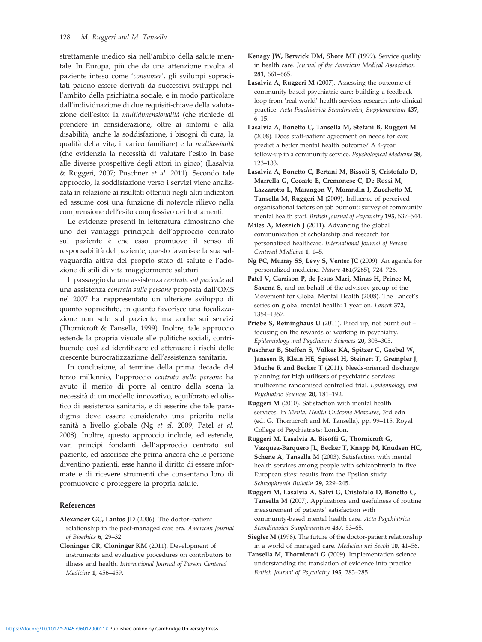strettamente medico sia nell'ambito della salute mentale. In Europa, più che da una attenzione rivolta al paziente inteso come 'consumer', gli sviluppi sopracitati paiono essere derivati da successivi sviluppi nell'ambito della psichiatria sociale, e in modo particolare dall'individuazione di due requisiti-chiave della valutazione dell'esito: la multidimensionalità (che richiede di prendere in considerazione, oltre ai sintomi e alla disabilità, anche la soddisfazione, i bisogni di cura, la qualità della vita, il carico familiare) e la multiassialità (che evidenzia la necessità di valutare l'esito in base alle diverse prospettive degli attori in gioco) (Lasalvia & Ruggeri, 2007; Puschner et al. 2011). Secondo tale approccio, la soddisfazione verso i servizi viene analizzata in relazione ai risultati ottenuti negli altri indicatori ed assume così una funzione di notevole rilievo nella comprensione dell'esito complessivo dei trattamenti.

Le evidenze presenti in letteratura dimostrano che uno dei vantaggi principali dell'approccio centrato sul paziente è che esso promuove il senso di responsabilità del paziente; questo favorisce la sua salvaguardia attiva del proprio stato di salute e l'adozione di stili di vita maggiormente salutari.

Il passaggio da una assistenza centrata sul paziente ad una assistenza centrata sulle persone proposta dall'OMS nel 2007 ha rappresentato un ulteriore sviluppo di quanto sopracitato, in quanto favorisce una focalizzazione non solo sul paziente, ma anche sui servizi (Thornicroft & Tansella, 1999). Inoltre, tale approccio estende la propria visuale alle politiche sociali, contribuendo così ad identificare ed attenuare i rischi delle crescente burocratizzazione dell'assistenza sanitaria.

In conclusione, al termine della prima decade del terzo millennio, l'approccio centrato sulle persone ha avuto il merito di porre al centro della scena la necessità di un modello innovativo, equilibrato ed olistico di assistenza sanitaria, e di asserire che tale paradigma deve essere considerato una priorità nella sanità a livello globale (Ng et al. 2009; Patel et al. 2008). Inoltre, questo approccio include, ed estende, vari principi fondanti dell'approccio centrato sul paziente, ed asserisce che prima ancora che le persone diventino pazienti, esse hanno il diritto di essere informate e di ricevere strumenti che consentano loro di promuovere e proteggere la propria salute.

## References

- Alexander GC, Lantos JD (2006). The doctor–patient relationship in the post-managed care era. American Journal of Bioethics 6, 29–32.
- Cloninger CR, Cloninger KM (2011). Development of instruments and evaluative procedures on contributors to illness and health. International Journal of Person Centered Medicine 1, 456–459.
- Kenagy JW, Berwick DM, Shore MF (1999). Service quality in health care. Journal of the American Medical Association 281, 661–665.
- Lasalvia A, Ruggeri M (2007). Assessing the outcome of community-based psychiatric care: building a feedback loop from 'real world' health services research into clinical practice. Acta Psychiatrica Scandinavica, Supplementum 437, 6–15.
- Lasalvia A, Bonetto C, Tansella M, Stefani B, Ruggeri M (2008). Does staff-patient agreement on needs for care predict a better mental health outcome? A 4-year follow-up in a community service. Psychological Medicine 38, 123–133.
- Lasalvia A, Bonetto C, Bertani M, Bissoli S, Cristofalo D, Marrella G, Ceccato E, Cremonese C, De Rossi M, Lazzarotto L, Marangon V, Morandin I, Zucchetto M, Tansella M, Ruggeri M (2009). Influence of perceived organisational factors on job burnout: survey of community mental health staff. British Journal of Psychiatry 195, 537–544.
- Miles A, Mezzich J (2011). Advancing the global communication of scholarship and research for personalized healthcare. International Journal of Person Centered Medicine 1, 1–5.
- Ng PC, Murray SS, Levy S, Venter JC (2009). An agenda for personalized medicine. Nature 461(7265), 724–726.
- Patel V, Garrison P, de Jesus Mari, Minas H, Prince M, Saxena S, and on behalf of the advisory group of the Movement for Global Mental Health (2008). The Lancet's series on global mental health: 1 year on. Lancet 372, 1354–1357.
- Priebe S, Reininghaus U (2011). Fired up, not burnt out focusing on the rewards of working in psychiatry. Epidemiology and Psychiatric Sciences 20, 303–305.
- Puschner B, Steffen S, Völker KA, Spitzer C, Gaebel W, Janssen B, Klein HE, Spiessl H, Steinert T, Grempler J, Muche R and Becker T (2011). Needs-oriented discharge planning for high utilisers of psychiatric services: multicentre randomised controlled trial. Epidemiology and Psychiatric Sciences 20, 181–192.
- Ruggeri M (2010). Satisfaction with mental health services. In Mental Health Outcome Measures, 3rd edn (ed. G. Thornicroft and M. Tansella), pp. 99–115. Royal College of Psychiatrists: London.
- Ruggeri M, Lasalvia A, Bisoffi G, Thornicroft G, Vazquez-Barquero JL, Becker T, Knapp M, Knudsen HC, Schene A, Tansella M (2003). Satisfaction with mental health services among people with schizophrenia in five European sites: results from the Epsilon study. Schizophrenia Bulletin 29, 229–245.
- Ruggeri M, Lasalvia A, Salvi G, Cristofalo D, Bonetto C, Tansella M (2007). Applications and usefulness of routine measurement of patients' satisfaction with community-based mental health care. Acta Psychiatrica Scandinavica Supplementum 437, 53–65.
- Siegler M (1998). The future of the doctor-patient relationship in a world of managed care. Medicina nei Secoli 10, 41–56.
- Tansella M, Thornicroft G (2009). Implementation science: understanding the translation of evidence into practice. British Journal of Psychiatry 195, 283–285.